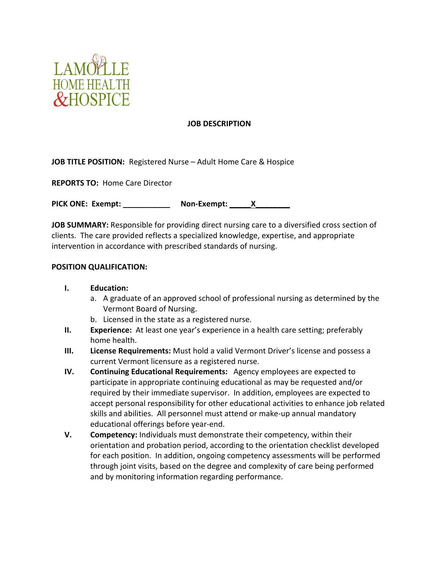

#### **JOB DESCRIPTION**

**JOB TITLE POSITION:** Registered Nurse – Adult Home Care & Hospice

**REPORTS TO:** Home Care Director

**PICK ONE: Exempt: \_\_\_\_\_\_\_\_\_\_\_ Non-Exempt: \_\_\_\_\_X\_\_\_\_\_\_\_\_**

**JOB SUMMARY:** Responsible for providing direct nursing care to a diversified cross section of clients. The care provided reflects a specialized knowledge, expertise, and appropriate intervention in accordance with prescribed standards of nursing.

#### **POSITION QUALIFICATION:**

### **I. Education:**

- a. A graduate of an approved school of professional nursing as determined by the Vermont Board of Nursing.
- b. Licensed in the state as a registered nurse.
- **II. Experience:** At least one year's experience in a health care setting; preferably home health.
- **III. License Requirements:** Must hold a valid Vermont Driver's license and possess a current Vermont licensure as a registered nurse.
- **IV. Continuing Educational Requirements:** Agency employees are expected to participate in appropriate continuing educational as may be requested and/or required by their immediate supervisor. In addition, employees are expected to accept personal responsibility for other educational activities to enhance job related skills and abilities. All personnel must attend or make-up annual mandatory educational offerings before year-end.
- **V. Competency:** Individuals must demonstrate their competency, within their orientation and probation period, according to the orientation checklist developed for each position. In addition, ongoing competency assessments will be performed through joint visits, based on the degree and complexity of care being performed and by monitoring information regarding performance.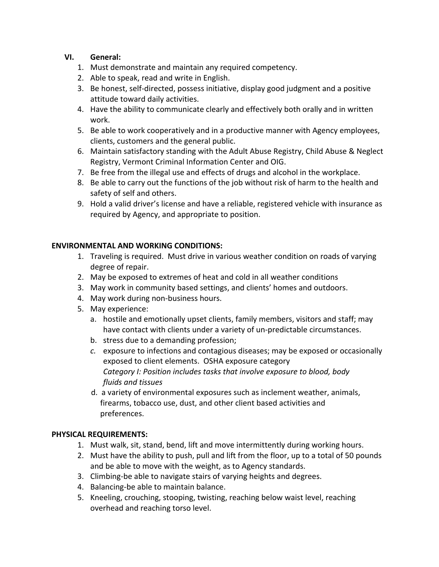## **VI. General:**

- 1. Must demonstrate and maintain any required competency.
- 2. Able to speak, read and write in English.
- 3. Be honest, self-directed, possess initiative, display good judgment and a positive attitude toward daily activities.
- 4. Have the ability to communicate clearly and effectively both orally and in written work.
- 5. Be able to work cooperatively and in a productive manner with Agency employees, clients, customers and the general public.
- 6. Maintain satisfactory standing with the Adult Abuse Registry, Child Abuse & Neglect Registry, Vermont Criminal Information Center and OIG.
- 7. Be free from the illegal use and effects of drugs and alcohol in the workplace.
- 8. Be able to carry out the functions of the job without risk of harm to the health and safety of self and others.
- 9. Hold a valid driver's license and have a reliable, registered vehicle with insurance as required by Agency, and appropriate to position.

## **ENVIRONMENTAL AND WORKING CONDITIONS:**

- 1. Traveling is required. Must drive in various weather condition on roads of varying degree of repair.
- 2. May be exposed to extremes of heat and cold in all weather conditions
- 3. May work in community based settings, and clients' homes and outdoors.
- 4. May work during non-business hours.
- 5. May experience:
	- a. hostile and emotionally upset clients, family members, visitors and staff; may have contact with clients under a variety of un-predictable circumstances.
	- b. stress due to a demanding profession;
	- *c.* exposure to infections and contagious diseases; may be exposed or occasionally exposed to client elements. OSHA exposure category *Category I: Position includes tasks that involve exposure to blood, body fluids and tissues*
	- d. a variety of environmental exposures such as inclement weather, animals, firearms, tobacco use, dust, and other client based activities and preferences.

# **PHYSICAL REQUIREMENTS:**

- 1. Must walk, sit, stand, bend, lift and move intermittently during working hours.
- 2. Must have the ability to push, pull and lift from the floor, up to a total of 50 pounds and be able to move with the weight, as to Agency standards.
- 3. Climbing-be able to navigate stairs of varying heights and degrees.
- 4. Balancing-be able to maintain balance.
- 5. Kneeling, crouching, stooping, twisting, reaching below waist level, reaching overhead and reaching torso level.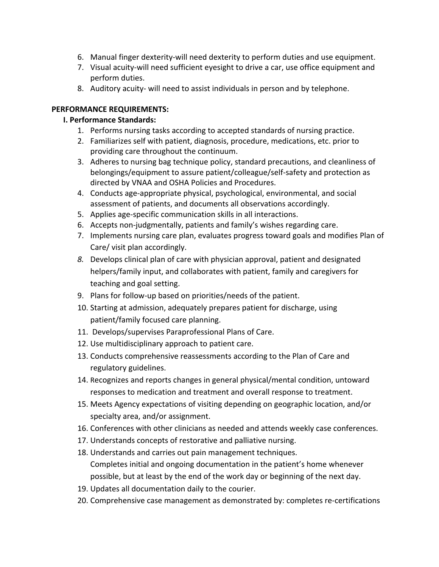- 6. Manual finger dexterity-will need dexterity to perform duties and use equipment.
- 7. Visual acuity-will need sufficient eyesight to drive a car, use office equipment and perform duties.
- 8. Auditory acuity- will need to assist individuals in person and by telephone.

## **PERFORMANCE REQUIREMENTS:**

# **I. Performance Standards:**

- 1. Performs nursing tasks according to accepted standards of nursing practice.
- 2. Familiarizes self with patient, diagnosis, procedure, medications, etc. prior to providing care throughout the continuum.
- 3. Adheres to nursing bag technique policy, standard precautions, and cleanliness of belongings/equipment to assure patient/colleague/self-safety and protection as directed by VNAA and OSHA Policies and Procedures.
- 4. Conducts age-appropriate physical, psychological, environmental, and social assessment of patients, and documents all observations accordingly.
- 5. Applies age-specific communication skills in all interactions.
- 6. Accepts non-judgmentally, patients and family's wishes regarding care.
- 7. Implements nursing care plan, evaluates progress toward goals and modifies Plan of Care/ visit plan accordingly.
- *8.* Develops clinical plan of care with physician approval, patient and designated helpers/family input, and collaborates with patient, family and caregivers for teaching and goal setting.
- 9. Plans for follow-up based on priorities/needs of the patient.
- 10. Starting at admission, adequately prepares patient for discharge, using patient/family focused care planning.
- 11. Develops/supervises Paraprofessional Plans of Care.
- 12. Use multidisciplinary approach to patient care.
- 13. Conducts comprehensive reassessments according to the Plan of Care and regulatory guidelines.
- 14. Recognizes and reports changes in general physical/mental condition, untoward responses to medication and treatment and overall response to treatment.
- 15. Meets Agency expectations of visiting depending on geographic location, and/or specialty area, and/or assignment.
- 16. Conferences with other clinicians as needed and attends weekly case conferences.
- 17. Understands concepts of restorative and palliative nursing.
- 18. Understands and carries out pain management techniques. Completes initial and ongoing documentation in the patient's home whenever possible, but at least by the end of the work day or beginning of the next day.
- 19. Updates all documentation daily to the courier.
- 20. Comprehensive case management as demonstrated by: completes re-certifications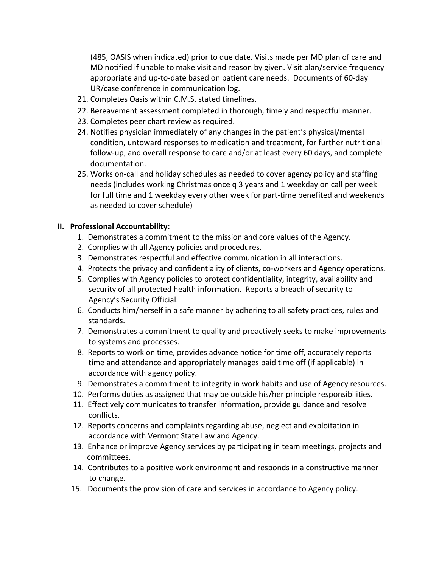(485, OASIS when indicated) prior to due date. Visits made per MD plan of care and MD notified if unable to make visit and reason by given. Visit plan/service frequency appropriate and up-to-date based on patient care needs. Documents of 60-day UR/case conference in communication log.

- 21. Completes Oasis within C.M.S. stated timelines.
- 22. Bereavement assessment completed in thorough, timely and respectful manner.
- 23. Completes peer chart review as required.
- 24. Notifies physician immediately of any changes in the patient's physical/mental condition, untoward responses to medication and treatment, for further nutritional follow-up, and overall response to care and/or at least every 60 days, and complete documentation.
- 25. Works on-call and holiday schedules as needed to cover agency policy and staffing needs (includes working Christmas once q 3 years and 1 weekday on call per week for full time and 1 weekday every other week for part-time benefited and weekends as needed to cover schedule)

#### **II. Professional Accountability:**

- 1. Demonstrates a commitment to the mission and core values of the Agency.
- 2. Complies with all Agency policies and procedures.
- 3. Demonstrates respectful and effective communication in all interactions.
- 4. Protects the privacy and confidentiality of clients, co-workers and Agency operations.
- 5. Complies with Agency policies to protect confidentiality, integrity, availability and security of all protected health information. Reports a breach of security to Agency's Security Official.
- 6. Conducts him/herself in a safe manner by adhering to all safety practices, rules and standards.
- 7. Demonstrates a commitment to quality and proactively seeks to make improvements to systems and processes.
- 8. Reports to work on time, provides advance notice for time off, accurately reports time and attendance and appropriately manages paid time off (if applicable) in accordance with agency policy.
- 9. Demonstrates a commitment to integrity in work habits and use of Agency resources.
- 10. Performs duties as assigned that may be outside his/her principle responsibilities.
- 11. Effectively communicates to transfer information, provide guidance and resolve conflicts.
- 12. Reports concerns and complaints regarding abuse, neglect and exploitation in accordance with Vermont State Law and Agency.
- 13. Enhance or improve Agency services by participating in team meetings, projects and committees.
- 14. Contributes to a positive work environment and responds in a constructive manner to change.
- 15. Documents the provision of care and services in accordance to Agency policy.